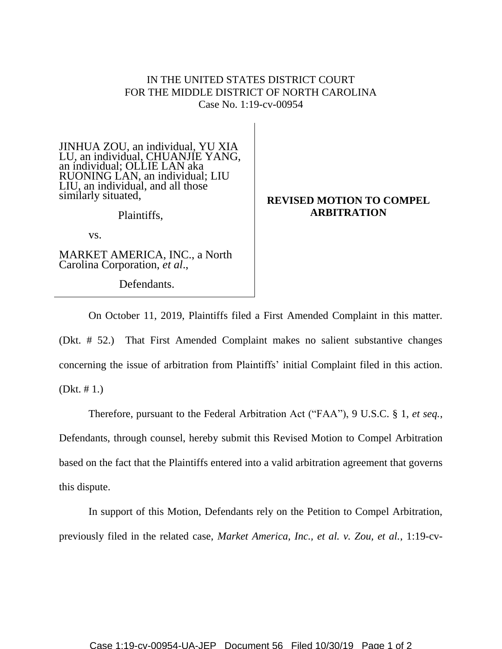## IN THE UNITED STATES DISTRICT COURT FOR THE MIDDLE DISTRICT OF NORTH CAROLINA Case No. 1:19-cv-00954

JINHUA ZOU, an individual, YU XIA LU, an individual, CHUANJIE YANG, an individual; OLLIE LAN aka RUONING LAN, an individual; LIU LIU, an individual, and all those similarly situated,

Plaintiffs,

vs.

MARKET AMERICA, INC., a North Carolina Corporation, *et al*.,

Defendants.

## **REVISED MOTION TO COMPEL ARBITRATION**

On October 11, 2019, Plaintiffs filed a First Amended Complaint in this matter. (Dkt. # 52.) That First Amended Complaint makes no salient substantive changes concerning the issue of arbitration from Plaintiffs' initial Complaint filed in this action. (Dkt. # 1.)

Therefore, pursuant to the Federal Arbitration Act ("FAA"), 9 U.S.C. § 1, *et seq.*, Defendants, through counsel, hereby submit this Revised Motion to Compel Arbitration based on the fact that the Plaintiffs entered into a valid arbitration agreement that governs this dispute.

In support of this Motion, Defendants rely on the Petition to Compel Arbitration, previously filed in the related case, *Market America, Inc., et al. v. Zou, et al.*, 1:19-cv